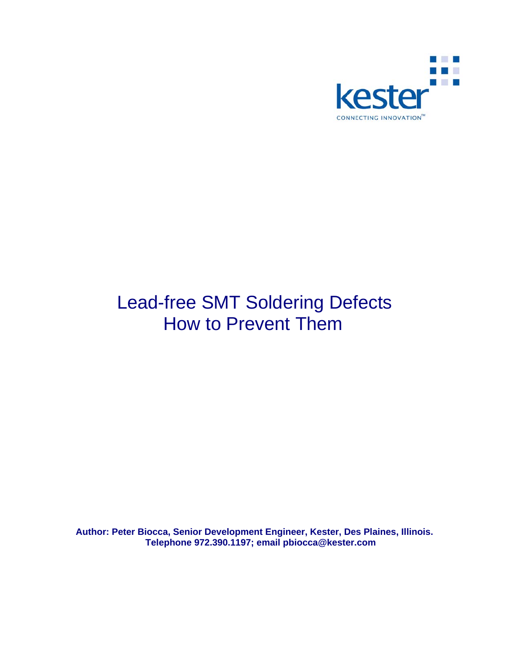

# Lead-free SMT Soldering Defects How to Prevent Them

**Author: Peter Biocca, Senior Development Engineer, Kester, Des Plaines, Illinois. Telephone 972.390.1197; email pbiocca@kester.com**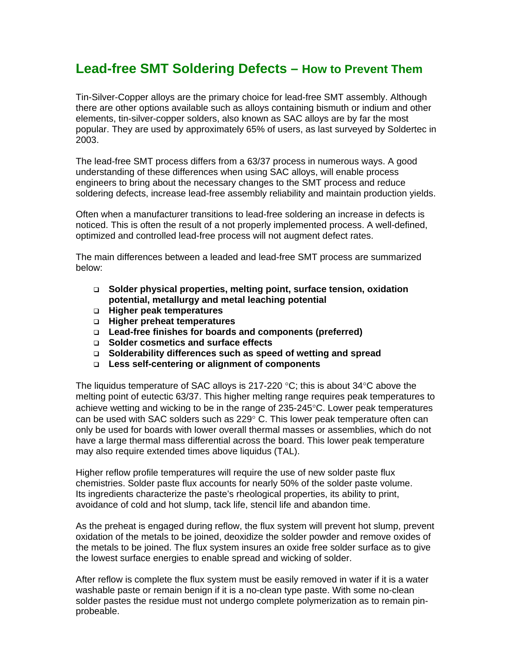# **Lead-free SMT Soldering Defects – How to Prevent Them**

Tin-Silver-Copper alloys are the primary choice for lead-free SMT assembly. Although there are other options available such as alloys containing bismuth or indium and other elements, tin-silver-copper solders, also known as SAC alloys are by far the most popular. They are used by approximately 65% of users, as last surveyed by Soldertec in 2003.

The lead-free SMT process differs from a 63/37 process in numerous ways. A good understanding of these differences when using SAC alloys, will enable process engineers to bring about the necessary changes to the SMT process and reduce soldering defects, increase lead-free assembly reliability and maintain production yields.

Often when a manufacturer transitions to lead-free soldering an increase in defects is noticed. This is often the result of a not properly implemented process. A well-defined, optimized and controlled lead-free process will not augment defect rates.

The main differences between a leaded and lead-free SMT process are summarized below:

- **Solder physical properties, melting point, surface tension, oxidation potential, metallurgy and metal leaching potential**
- **Higher peak temperatures**
- **Higher preheat temperatures**
- **Lead-free finishes for boards and components (preferred)**
- **Solder cosmetics and surface effects**
- **Solderability differences such as speed of wetting and spread**
- **Less self-centering or alignment of components**

The liquidus temperature of SAC alloys is 217-220  $\degree$ C; this is about 34 $\degree$ C above the melting point of eutectic 63/37. This higher melting range requires peak temperatures to achieve wetting and wicking to be in the range of 235-245°C. Lower peak temperatures can be used with SAC solders such as  $229^{\circ}$  C. This lower peak temperature often can only be used for boards with lower overall thermal masses or assemblies, which do not have a large thermal mass differential across the board. This lower peak temperature may also require extended times above liquidus (TAL).

Higher reflow profile temperatures will require the use of new solder paste flux chemistries. Solder paste flux accounts for nearly 50% of the solder paste volume. Its ingredients characterize the paste's rheological properties, its ability to print, avoidance of cold and hot slump, tack life, stencil life and abandon time.

As the preheat is engaged during reflow, the flux system will prevent hot slump, prevent oxidation of the metals to be joined, deoxidize the solder powder and remove oxides of the metals to be joined. The flux system insures an oxide free solder surface as to give the lowest surface energies to enable spread and wicking of solder.

After reflow is complete the flux system must be easily removed in water if it is a water washable paste or remain benign if it is a no-clean type paste. With some no-clean solder pastes the residue must not undergo complete polymerization as to remain pinprobeable.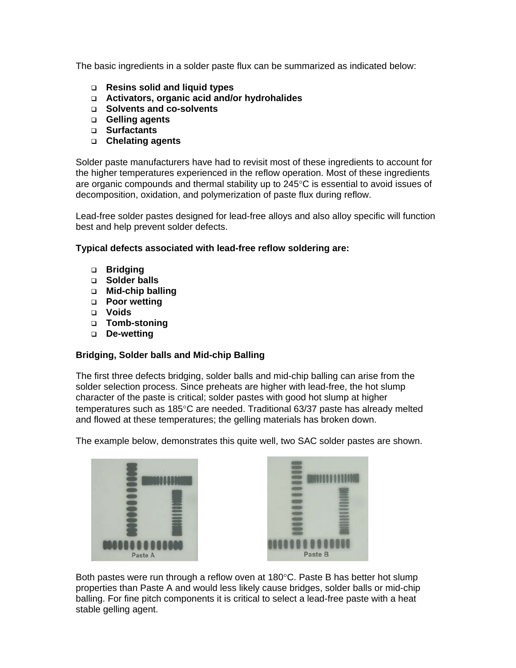The basic ingredients in a solder paste flux can be summarized as indicated below:

- **Resins solid and liquid types**
- **Activators, organic acid and/or hydrohalides**
- **Solvents and co-solvents**
- **Gelling agents**
- **Surfactants**
- **Chelating agents**

Solder paste manufacturers have had to revisit most of these ingredients to account for the higher temperatures experienced in the reflow operation. Most of these ingredients are organic compounds and thermal stability up to  $245^{\circ}$ C is essential to avoid issues of decomposition, oxidation, and polymerization of paste flux during reflow.

Lead-free solder pastes designed for lead-free alloys and also alloy specific will function best and help prevent solder defects.

# **Typical defects associated with lead-free reflow soldering are:**

- **Bridging**
- **Solder balls**
- **Mid-chip balling**
- **Poor wetting**
- **Voids**
- **Tomb-stoning**
- **De-wetting**

# **Bridging, Solder balls and Mid-chip Balling**

The first three defects bridging, solder balls and mid-chip balling can arise from the solder selection process. Since preheats are higher with lead-free, the hot slump character of the paste is critical; solder pastes with good hot slump at higher temperatures such as 185°C are needed. Traditional 63/37 paste has already melted and flowed at these temperatures; the gelling materials has broken down.

The example below, demonstrates this quite well, two SAC solder pastes are shown.





Both pastes were run through a reflow oven at 180°C. Paste B has better hot slump properties than Paste A and would less likely cause bridges, solder balls or mid-chip balling. For fine pitch components it is critical to select a lead-free paste with a heat stable gelling agent.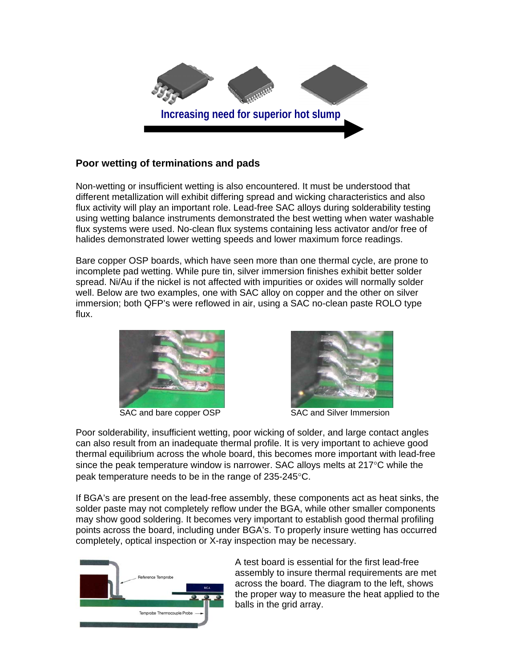

# **Poor wetting of terminations and pads**

Non-wetting or insufficient wetting is also encountered. It must be understood that different metallization will exhibit differing spread and wicking characteristics and also flux activity will play an important role. Lead-free SAC alloys during solderability testing using wetting balance instruments demonstrated the best wetting when water washable flux systems were used. No-clean flux systems containing less activator and/or free of halides demonstrated lower wetting speeds and lower maximum force readings.

Bare copper OSP boards, which have seen more than one thermal cycle, are prone to incomplete pad wetting. While pure tin, silver immersion finishes exhibit better solder spread. Ni/Au if the nickel is not affected with impurities or oxides will normally solder well. Below are two examples, one with SAC alloy on copper and the other on silver immersion; both QFP's were reflowed in air, using a SAC no-clean paste ROLO type flux.





SAC and bare copper OSP SAC and Silver Immersion

Poor solderability, insufficient wetting, poor wicking of solder, and large contact angles can also result from an inadequate thermal profile. It is very important to achieve good thermal equilibrium across the whole board, this becomes more important with lead-free since the peak temperature window is narrower. SAC alloys melts at 217°C while the peak temperature needs to be in the range of 235-245°C.

If BGA's are present on the lead-free assembly, these components act as heat sinks, the solder paste may not completely reflow under the BGA, while other smaller components may show good soldering. It becomes very important to establish good thermal profiling points across the board, including under BGA's. To properly insure wetting has occurred completely, optical inspection or X-ray inspection may be necessary.



A test board is essential for the first lead-free assembly to insure thermal requirements are met across the board. The diagram to the left, shows the proper way to measure the heat applied to the balls in the grid array.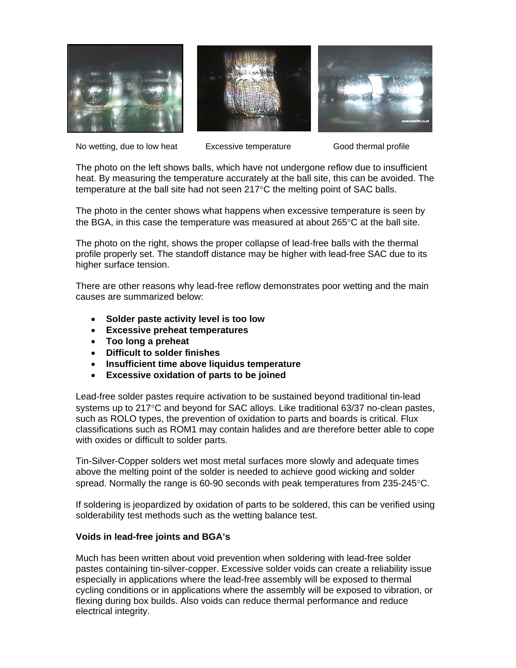





No wetting, due to low heat Excessive temperature Good thermal profile

The photo on the left shows balls, which have not undergone reflow due to insufficient heat. By measuring the temperature accurately at the ball site, this can be avoided. The temperature at the ball site had not seen 217°C the melting point of SAC balls.

The photo in the center shows what happens when excessive temperature is seen by the BGA, in this case the temperature was measured at about  $265^{\circ}$ C at the ball site.

The photo on the right, shows the proper collapse of lead-free balls with the thermal profile properly set. The standoff distance may be higher with lead-free SAC due to its higher surface tension.

There are other reasons why lead-free reflow demonstrates poor wetting and the main causes are summarized below:

- **Solder paste activity level is too low**
- **Excessive preheat temperatures**
- **Too long a preheat**
- **Difficult to solder finishes**
- **Insufficient time above liquidus temperature**
- **Excessive oxidation of parts to be joined**

Lead-free solder pastes require activation to be sustained beyond traditional tin-lead systems up to 217°C and beyond for SAC alloys. Like traditional 63/37 no-clean pastes, such as ROLO types, the prevention of oxidation to parts and boards is critical. Flux classifications such as ROM1 may contain halides and are therefore better able to cope with oxides or difficult to solder parts.

Tin-Silver-Copper solders wet most metal surfaces more slowly and adequate times above the melting point of the solder is needed to achieve good wicking and solder spread. Normally the range is 60-90 seconds with peak temperatures from 235-245°C.

If soldering is jeopardized by oxidation of parts to be soldered, this can be verified using solderability test methods such as the wetting balance test.

#### **Voids in lead-free joints and BGA's**

Much has been written about void prevention when soldering with lead-free solder pastes containing tin-silver-copper. Excessive solder voids can create a reliability issue especially in applications where the lead-free assembly will be exposed to thermal cycling conditions or in applications where the assembly will be exposed to vibration, or flexing during box builds. Also voids can reduce thermal performance and reduce electrical integrity.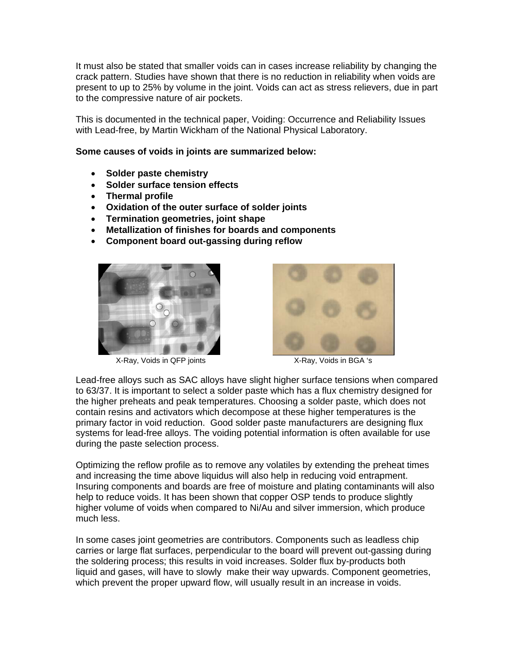It must also be stated that smaller voids can in cases increase reliability by changing the crack pattern. Studies have shown that there is no reduction in reliability when voids are present to up to 25% by volume in the joint. Voids can act as stress relievers, due in part to the compressive nature of air pockets.

This is documented in the technical paper, Voiding: Occurrence and Reliability Issues with Lead-free, by Martin Wickham of the National Physical Laboratory.

#### **Some causes of voids in joints are summarized below:**

- **Solder paste chemistry**
- **Solder surface tension effects**
- **Thermal profile**
- **Oxidation of the outer surface of solder joints**
- **Termination geometries, joint shape**
- **Metallization of finishes for boards and components**
- **Component board out-gassing during reflow**



X-Ray, Voids in QFP joints X-Ray, Voids in BGA 's



Lead-free alloys such as SAC alloys have slight higher surface tensions when compared to 63/37. It is important to select a solder paste which has a flux chemistry designed for the higher preheats and peak temperatures. Choosing a solder paste, which does not contain resins and activators which decompose at these higher temperatures is the primary factor in void reduction. Good solder paste manufacturers are designing flux systems for lead-free alloys. The voiding potential information is often available for use during the paste selection process.

Optimizing the reflow profile as to remove any volatiles by extending the preheat times and increasing the time above liquidus will also help in reducing void entrapment. Insuring components and boards are free of moisture and plating contaminants will also help to reduce voids. It has been shown that copper OSP tends to produce slightly higher volume of voids when compared to Ni/Au and silver immersion, which produce much less.

In some cases joint geometries are contributors. Components such as leadless chip carries or large flat surfaces, perpendicular to the board will prevent out-gassing during the soldering process; this results in void increases. Solder flux by-products both liquid and gases, will have to slowly make their way upwards. Component geometries, which prevent the proper upward flow, will usually result in an increase in voids.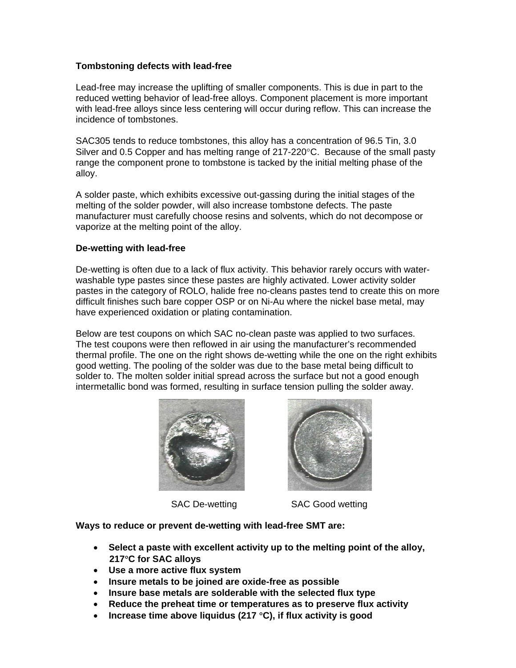### **Tombstoning defects with lead-free**

Lead-free may increase the uplifting of smaller components. This is due in part to the reduced wetting behavior of lead-free alloys. Component placement is more important with lead-free alloys since less centering will occur during reflow. This can increase the incidence of tombstones.

SAC305 tends to reduce tombstones, this alloy has a concentration of 96.5 Tin, 3.0 Silver and 0.5 Copper and has melting range of  $217-220^{\circ}$ C. Because of the small pasty range the component prone to tombstone is tacked by the initial melting phase of the alloy.

A solder paste, which exhibits excessive out-gassing during the initial stages of the melting of the solder powder, will also increase tombstone defects. The paste manufacturer must carefully choose resins and solvents, which do not decompose or vaporize at the melting point of the alloy.

#### **De-wetting with lead-free**

De-wetting is often due to a lack of flux activity. This behavior rarely occurs with waterwashable type pastes since these pastes are highly activated. Lower activity solder pastes in the category of ROLO, halide free no-cleans pastes tend to create this on more difficult finishes such bare copper OSP or on Ni-Au where the nickel base metal, may have experienced oxidation or plating contamination.

Below are test coupons on which SAC no-clean paste was applied to two surfaces. The test coupons were then reflowed in air using the manufacturer's recommended thermal profile. The one on the right shows de-wetting while the one on the right exhibits good wetting. The pooling of the solder was due to the base metal being difficult to solder to. The molten solder initial spread across the surface but not a good enough intermetallic bond was formed, resulting in surface tension pulling the solder away.





SAC De-wetting SAC Good wetting

**Ways to reduce or prevent de-wetting with lead-free SMT are:** 

- **Select a paste with excellent activity up to the melting point of the alloy, 217**°**C for SAC alloys**
- **Use a more active flux system**
- **Insure metals to be joined are oxide-free as possible**
- **Insure base metals are solderable with the selected flux type**
- **Reduce the preheat time or temperatures as to preserve flux activity**
- **Increase time above liquidus (217** °**C), if flux activity is good**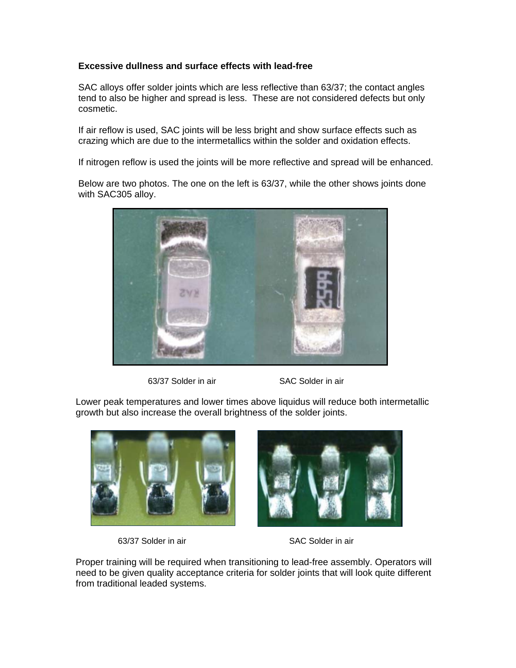# **Excessive dullness and surface effects with lead-free**

SAC alloys offer solder joints which are less reflective than 63/37; the contact angles tend to also be higher and spread is less. These are not considered defects but only cosmetic.

If air reflow is used, SAC joints will be less bright and show surface effects such as crazing which are due to the intermetallics within the solder and oxidation effects.

If nitrogen reflow is used the joints will be more reflective and spread will be enhanced.

Below are two photos. The one on the left is 63/37, while the other shows joints done with SAC305 alloy.



<sup>63/37</sup> Solder in air SAC Solder in air

Lower peak temperatures and lower times above liquidus will reduce both intermetallic growth but also increase the overall brightness of the solder joints.



63/37 Solder in air SAC Solder in air



Proper training will be required when transitioning to lead-free assembly. Operators will need to be given quality acceptance criteria for solder joints that will look quite different from traditional leaded systems.